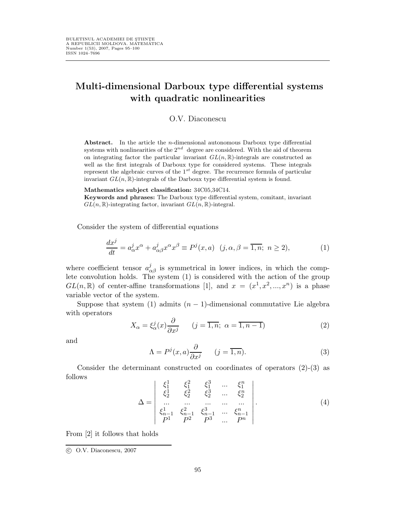## Multi-dimensional Darboux type differential systems with quadratic nonlinearities

O.V. Diaconescu

Abstract. In the article the *n*-dimensional autonomous Darboux type differential systems with nonlinearities of the  $2^{nd}$  degree are considered. With the aid of theorem on integrating factor the particular invariant  $GL(n,\mathbb{R})$ -integrals are constructed as well as the first integrals of Darboux type for considered systems. These integrals represent the algebraic curves of the  $1^{st}$  degree. The recurrence formula of particular invariant  $GL(n,\mathbb{R})$ -integrals of the Darboux type differential system is found.

Mathematics subject classification: 34C05,34C14.

Keywords and phrases: The Darboux type differential system, comitant, invariant  $GL(n,\mathbb{R})$ -integrating factor, invariant  $GL(n,\mathbb{R})$ -integral.

Consider the system of differential equations

$$
\frac{dx^j}{dt} = a^j_\alpha x^\alpha + a^j_{\alpha\beta} x^\alpha x^\beta \equiv P^j(x, a) \quad (j, \alpha, \beta = \overline{1, n}; \ n \ge 2), \tag{1}
$$

where coefficient tensor  $a_{\alpha\beta}^j$  is symmetrical in lower indices, in which the complete convolution holds. The system (1) is considered with the action of the group  $GL(n,\mathbb{R})$  of center-affine transformations [1], and  $x = (x^1, x^2, ..., x^n)$  is a phase variable vector of the system.

Suppose that system (1) admits  $(n - 1)$ -dimensional commutative Lie algebra with operators

$$
X_{\alpha} = \xi_{\alpha}^{j}(x) \frac{\partial}{\partial x^{j}} \qquad (j = \overline{1, n}; \ \alpha = \overline{1, n - 1})
$$
 (2)

and

$$
\Lambda = P^{j}(x, a) \frac{\partial}{\partial x^{j}} \qquad (j = \overline{1, n}).
$$
\n(3)

Consider the determinant constructed on coordinates of operators (2)-(3) as follows  $\Delta$  $\sim$ 

$$
\Delta = \begin{vmatrix} \xi_1^1 & \xi_1^2 & \xi_1^3 & \dots & \xi_1^n \\ \xi_2^1 & \xi_2^2 & \xi_2^3 & \dots & \xi_2^n \\ \dots & \dots & \dots & \dots & \dots \\ \xi_{n-1}^1 & \xi_{n-1}^2 & \xi_{n-1}^3 & \dots & \xi_{n-1}^n \\ P^1 & P^2 & P^3 & \dots & P^n \end{vmatrix} . \tag{4}
$$

From [2] it follows that holds

c O.V. Diaconescu, 2007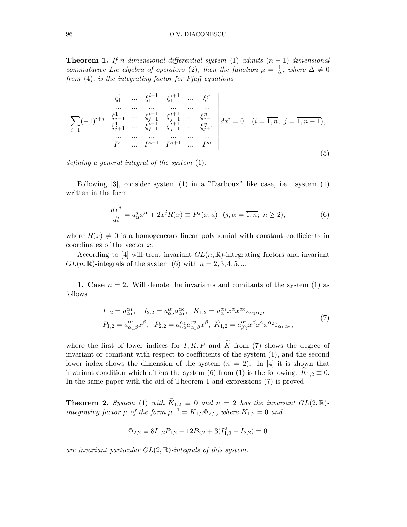**Theorem 1.** If n-dimensional differential system (1) admits  $(n - 1)$ -dimensional commutative Lie algebra of operators (2), then the function  $\mu = \frac{1}{\Delta}$  $\frac{1}{\Delta}$ , where  $\Delta \neq 0$ from (4), is the integrating factor for Pfaff equations

$$
\sum_{i=1} (-1)^{i+j} \begin{vmatrix} \xi_1^1 & \dots & \xi_1^{i-1} & \xi_1^{i+1} & \dots & \xi_1^n \\ \dots & \dots & \dots & \dots & \dots \\ \xi_{j-1}^1 & \dots & \xi_{j-1}^{i-1} & \xi_{j-1}^{i+1} & \dots & \xi_{j-1}^n \\ \xi_{j+1}^1 & \dots & \xi_{j+1}^{i+1} & \xi_{j+1}^{i+1} & \dots & \xi_{j+1}^n \\ \dots & \dots & \dots & \dots & \dots \\ p^1 & \dots & p^{i-1} & p^{i+1} & \dots & p^n \end{vmatrix} dx^i = 0 \quad (i = \overline{1, n}; j = \overline{1, n-1}),
$$
\n(5)

defining a general integral of the system (1).

Following  $[3]$ , consider system  $(1)$  in a "Darboux" like case, i.e. system  $(1)$ written in the form

$$
\frac{dx^j}{dt} = a^j_\alpha x^\alpha + 2x^j R(x) \equiv P^j(x, a) \quad (j, \alpha = \overline{1, n}; \ n \ge 2),\tag{6}
$$

where  $R(x) \neq 0$  is a homogeneous linear polynomial with constant coefficients in coordinates of the vector x.

According to [4] will treat invariant  $GL(n,\mathbb{R})$ -integrating factors and invariant  $GL(n,\mathbb{R})$ -integrals of the system (6) with  $n = 2, 3, 4, 5, ...$ 

1. Case  $n = 2$ . Will denote the invariants and comitants of the system (1) as follows

$$
I_{1,2} = a_{\alpha_1}^{\alpha_1}, \quad I_{2,2} = a_{\alpha_2}^{\alpha_1} a_{\alpha_1}^{\alpha_2}, \quad K_{1,2} = a_{\alpha}^{\alpha_1} x^{\alpha} x^{\alpha_2} \varepsilon_{\alpha_1 \alpha_2},
$$
  
\n
$$
P_{1,2} = a_{\alpha_1 \beta}^{\alpha_1} x^{\beta}, \quad P_{2,2} = a_{\alpha_2}^{\alpha_1} a_{\alpha_1 \beta}^{\alpha_2} x^{\beta}, \quad \widetilde{K}_{1,2} = a_{\beta \gamma}^{\alpha_1} x^{\beta} x^{\gamma} x^{\alpha_2} \varepsilon_{\alpha_1 \alpha_2},
$$
\n
$$
(7)
$$

where the first of lower indices for I, K, P and  $\widetilde{K}$  from (7) shows the degree of invariant or comitant with respect to coefficients of the system (1), and the second lower index shows the dimension of the system  $(n = 2)$ . In [4] it is shown that invariant condition which differs the system (6) from (1) is the following:  $K_{1,2} \equiv 0$ . In the same paper with the aid of Theorem 1 and expressions (7) is proved

**Theorem 2.** System (1) with  $\widetilde{K}_{1,2} \equiv 0$  and  $n = 2$  has the invariant  $GL(2,\mathbb{R})$ integrating factor  $\mu$  of the form  $\mu^{-1} = K_{1,2} \Phi_{2,2}$ , where  $K_{1,2} = 0$  and

$$
\Phi_{2,2} \equiv 8I_{1,2}P_{1,2} - 12P_{2,2} + 3(I_{1,2}^2 - I_{2,2}) = 0
$$

are invariant particular  $GL(2, \mathbb{R})$ -integrals of this system.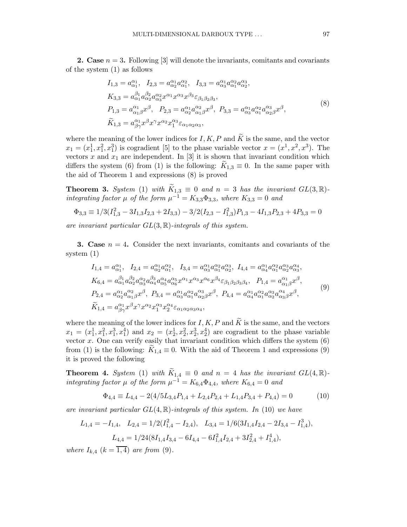**2.** Case  $n = 3$ . Following [3] will denote the invariants, comitants and covariants of the system (1) as follows

$$
I_{1,3} = a_{\alpha_1}^{\alpha_1}, \quad I_{2,3} = a_{\alpha_2}^{\alpha_1} a_{\alpha_1}^{\alpha_2}, \quad I_{3,3} = a_{\alpha_3}^{\alpha_1} a_{\alpha_1}^{\alpha_2} a_{\alpha_2}^{\alpha_3},
$$
  
\n
$$
K_{3,3} = a_{\alpha_1}^{\beta_1} a_{\alpha_2}^{\beta_2} a_{\alpha_3}^{\alpha_2} x^{\alpha_1} x^{\alpha_3} x^{\beta_3} \varepsilon_{\beta_1 \beta_2 \beta_3},
$$
  
\n
$$
P_{1,3} = a_{\alpha_1 \beta}^{\alpha_1} x^{\beta}, \quad P_{2,3} = a_{\alpha_2}^{\alpha_1} a_{\alpha_1 \beta}^{\alpha_2} x^{\beta}, \quad P_{3,3} = a_{\alpha_3}^{\alpha_1} a_{\alpha_1}^{\alpha_2} a_{\alpha_2 \beta}^{\alpha_3} x^{\beta},
$$
  
\n
$$
\widetilde{K}_{1,3} = a_{\beta \gamma}^{\alpha_1} x^{\beta} x^{\gamma} x^{\alpha_2} x_1^{\alpha_3} \varepsilon_{\alpha_1 \alpha_2 \alpha_3},
$$
  
\n(8)

where the meaning of the lower indices for I, K, P and  $\widetilde{K}$  is the same, and the vector  $x_1 = (x_1^1, x_1^2, x_1^3)$  is cogradient [5] to the phase variable vector  $x = (x^1, x^2, x^3)$ . The vectors x and  $x_1$  are independent. In [3] it is shown that invariant condition which differs the system (6) from (1) is the following:  $K_{1,3} \equiv 0$ . In the same paper with the aid of Theorem 1 and expressions (8) is proved

**Theorem 3.** System (1) with  $\widetilde{K}_{1,3} \equiv 0$  and  $n = 3$  has the invariant  $GL(3, \mathbb{R})$ integrating factor  $\mu$  of the form  $\mu^{-1} = K_{3,3} \Phi_{3,3}$ , where  $K_{3,3} = 0$  and

$$
\Phi_{3,3} \equiv 1/3(I_{1,3}^2 - 3I_{1,3}I_{2,3} + 2I_{3,3}) - 3/2(I_{2,3} - I_{1,3}^2)P_{1,3} - 4I_{1,3}P_{2,3} + 4P_{3,3} = 0
$$

are invariant particular  $GL(3,\mathbb{R})$ -integrals of this system.

**3.** Case  $n = 4$ . Consider the next invariants, comitants and covariants of the system (1)

$$
I_{1,4} = a_{\alpha_1}^{\alpha_1}, \quad I_{2,4} = a_{\alpha_2}^{\alpha_1} a_{\alpha_1}^{\alpha_2}, \quad I_{3,4} = a_{\alpha_3}^{\alpha_1} a_{\alpha_1}^{\alpha_2} a_{\alpha_2}^{\alpha_3}, \quad I_{4,4} = a_{\alpha_4}^{\alpha_1} a_{\alpha_1}^{\alpha_2} a_{\alpha_2}^{\alpha_3} a_{\alpha_3}^{\alpha_4},
$$
  
\n
$$
K_{6,4} = a_{\alpha_1}^{\beta_1} a_{\alpha_2}^{\beta_2} a_{\alpha_3}^{\alpha_2} a_{\alpha_4}^{\beta_3} a_{\alpha_5}^{\alpha_4} a_{\alpha_6}^{\alpha_5} x^{\alpha_1} x^{\alpha_3} x^{\alpha_6} x^{\beta_4} \varepsilon_{\beta_1 \beta_2 \beta_3 \beta_4}, \quad P_{1,4} = a_{\alpha_1 \beta}^{\alpha_1} x^{\beta},
$$
  
\n
$$
P_{2,4} = a_{\alpha_2}^{\alpha_1} a_{\alpha_1 \beta}^{\alpha_2} x^{\beta}, \quad P_{3,4} = a_{\alpha_3}^{\alpha_1} a_{\alpha_1}^{\alpha_2} a_{\alpha_2 \beta}^{\alpha_3} x^{\beta}, \quad P_{4,4} = a_{\alpha_4}^{\alpha_1} a_{\alpha_1}^{\alpha_2} a_{\alpha_3 \beta}^{\alpha_3} x^{\beta},
$$
  
\n
$$
\widetilde{K}_{1,4} = a_{\beta \gamma}^{\alpha_1} x^{\beta} x^{\gamma} x^{\alpha_2} x_1^{\alpha_3} x_2^{\alpha_4} \varepsilon_{\alpha_1 \alpha_2 \alpha_3 \alpha_4},
$$
\n
$$
(9)
$$

where the meaning of the lower indices for I, K, P and  $\widetilde{K}$  is the same, and the vectors  $x_1 = (x_1^1, x_1^2, x_1^3, x_1^4)$  and  $x_2 = (x_2^1, x_2^2, x_2^3, x_2^4)$  are cogradient to the phase variable vector  $x$ . One can verify easily that invariant condition which differs the system  $(6)$ from (1) is the following:  $K_{1,4} \equiv 0$ . With the aid of Theorem 1 and expressions (9) it is proved the following

**Theorem 4.** System (1) with  $\widetilde{K}_{1,4} \equiv 0$  and  $n = 4$  has the invariant  $GL(4,\mathbb{R})$ integrating factor  $\mu$  of the form  $\mu^{-1} = K_{6,4} \Phi_{4,4}$ , where  $K_{6,4} = 0$  and

$$
\Phi_{4,4} \equiv L_{4,4} - 2(4/5L_{3,4}P_{1,4} + L_{2,4}P_{2,4} + L_{1,4}P_{3,4} + P_{4,4}) = 0 \tag{10}
$$

are invariant particular  $GL(4,\mathbb{R})$ -integrals of this system. In (10) we have

$$
L_{1,4} = -I_{1,4}, \quad L_{2,4} = 1/2(I_{1,4}^2 - I_{2,4}), \quad L_{3,4} = 1/6(3I_{1,4}I_{2,4} - 2I_{3,4} - I_{1,4}^3),
$$

$$
L_{4,4} = 1/24(8I_{1,4}I_{3,4} - 6I_{4,4} - 6I_{1,4}^2I_{2,4} + 3I_{2,4}^2 + I_{1,4}^4),
$$

where  $I_{k,4}$   $(k=\overline{1,4})$  are from (9).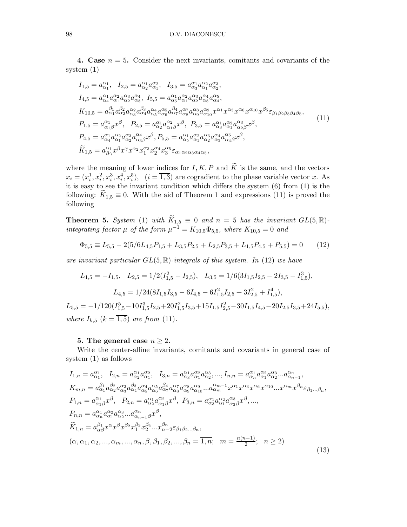4. Case  $n = 5$ . Consider the next invariants, comitants and covariants of the system (1)

$$
I_{1,5} = a_{\alpha_1}^{\alpha_1}, I_{2,5} = a_{\alpha_2}^{\alpha_1} a_{\alpha_1}^{\alpha_2}, I_{3,5} = a_{\alpha_3}^{\alpha_1} a_{\alpha_1}^{\alpha_2} a_{\alpha_2}^{\alpha_3},
$$
  
\n
$$
I_{4,5} = a_{\alpha_4}^{\alpha_1} a_{\alpha_1}^{\alpha_2} a_{\alpha_2}^{\alpha_3} a_{\alpha_3}^{\alpha_4}, I_{5,5} = a_{\alpha_5}^{\alpha_1} a_{\alpha_1}^{\alpha_2} a_{\alpha_2}^{\alpha_3} a_{\alpha_4}^{\alpha_4},
$$
  
\n
$$
K_{10,5} = a_{\alpha_1}^{\beta_1} a_{\alpha_2}^{\beta_2} a_{\alpha_3}^{\alpha_3} a_{\alpha_4}^{\beta_3} a_{\alpha_5}^{\alpha_4} a_{\alpha_6}^{\beta_4} a_{\alpha_7}^{\alpha_7} a_{\alpha_8}^{\alpha_8} a_{\alpha_1}^{\alpha_9} a^{\alpha_1} x^{\alpha_3} x^{\alpha_6} x^{\alpha_{10}} x^{\beta_5} \varepsilon_{\beta_1 \beta_2 \beta_3 \beta_4 \beta_5},
$$
  
\n
$$
P_{1,5} = a_{\alpha_1 \beta}^{\alpha_1} x^{\beta}, P_{2,5} = a_{\alpha_2}^{\alpha_1} a_{\alpha_1 \beta}^{\alpha_2} x^{\beta}, P_{3,5} = a_{\alpha_3}^{\alpha_1} a_{\alpha_1}^{\alpha_2} a_{\alpha_2 \beta}^{\alpha_3} x^{\beta},
$$
  
\n
$$
P_{4,5} = a_{\alpha_4}^{\alpha_1} a_{\alpha_1}^{\alpha_2} a_{\alpha_3}^{\alpha_3} a_{\alpha_3 \beta}^{\alpha_4} x^{\beta}, P_{5,5} = a_{\alpha_5}^{\alpha_1} a_{\alpha_1}^{\alpha_2} a_{\alpha_3}^{\alpha_3} a_{\alpha_4 \beta}^{\alpha_5} x^{\beta},
$$
  
\n
$$
\widetilde{K}_{1,5} = a_{\beta \gamma}^{\alpha_1} x^{\beta} x^{\gamma} x^{\alpha_2} x_
$$

where the meaning of lower indices for I, K, P and  $\widetilde{K}$  is the same, and the vectors  $x_i = (x_i^1, x_i^2, x_i^3, x_i^4, x_i^5), \quad (i = \overline{1, 3})$  are cogradient to the phase variable vector x. As it is easy to see the invariant condition which differs the system (6) from (1) is the following:  $K_{1,5} \equiv 0$ . With the aid of Theorem 1 and expressions (11) is proved the following

**Theorem 5.** System (1) with  $\widetilde{K}_{1,5} \equiv 0$  and  $n = 5$  has the invariant  $GL(5, \mathbb{R})$ integrating factor  $\mu$  of the form  $\mu^{-1} = K_{10,5} \Phi_{5,5}$ , where  $K_{10,5} = 0$  and

$$
\Phi_{5,5} \equiv L_{5,5} - 2(5/6L_{4,5}P_{1,5} + L_{3,5}P_{2,5} + L_{2,5}P_{3,5} + L_{1,5}P_{4,5} + P_{5,5}) = 0 \tag{12}
$$

are invariant particular  $GL(5, \mathbb{R})$ -integrals of this system. In (12) we have

$$
L_{1,5} = -I_{1,5}, \quad L_{2,5} = 1/2(I_{1,5}^2 - I_{2,5}), \quad L_{3,5} = 1/6(3I_{1,5}I_{2,5} - 2I_{3,5} - I_{1,5}^3),
$$

$$
L_{4,5} = 1/24(8I_{1,5}I_{3,5} - 6I_{4,5} - 6I_{1,5}^2I_{2,5} + 3I_{2,5}^2 + I_{1,5}^4),
$$

 $L_{5,5} = -1/120(I_{1,5}^5 - 10I_{1,5}^3I_{2,5} + 20I_{1,5}^2I_{3,5} + 15I_{1,5}I_{2,5}^2 - 30I_{1,5}I_{4,5} - 20I_{2,5}I_{3,5} + 24I_{5,5}),$ where  $I_{k,5}$   $(k = \overline{1,5})$  are from (11).

## 5. The general case  $n \geq 2$ .

Write the center-affine invariants, comitants and covariants in general case of system (1) as follows

$$
I_{1,n} = a_{\alpha_1}^{\alpha_1}, \quad I_{2,n} = a_{\alpha_2}^{\alpha_1} a_{\alpha_1}^{\alpha_2}, \quad I_{3,n} = a_{\alpha_3}^{\alpha_1} a_{\alpha_1}^{\alpha_2} a_{\alpha_2}^{\alpha_3}, \dots, I_{n,n} = a_{\alpha_n}^{\alpha_1} a_{\alpha_1}^{\alpha_2} a_{\alpha_2}^{\alpha_3} \dots a_{\alpha_{n-1}}^{\alpha_n},
$$
  
\n
$$
K_{m,n} = a_{\alpha_1}^{\beta_1} a_{\alpha_2}^{\beta_2} a_{\alpha_3}^{\alpha_2} a_{\alpha_4}^{\beta_3} a_{\alpha_5}^{\alpha_4} a_{\alpha_6}^{\alpha_5} a_{\alpha_7}^{\beta_4} a_{\alpha_8}^{\alpha_6} a_{\alpha_1}^{\alpha_9} \dots a_{\alpha_m}^{\alpha_{m-1}} x^{\alpha_1} x^{\alpha_3} x^{\alpha_6} x^{\alpha_{10}} \dots x^{\alpha_m} x^{\beta_n} \varepsilon_{\beta_1 \dots \beta_n},
$$
  
\n
$$
P_{1,n} = a_{\alpha_1}^{\alpha_1} a_{\alpha_1}^{\alpha_2} a_{\alpha_2}^{\alpha_3} \dots a_{\alpha_{n-1}\beta}^{\alpha_n} x^{\beta}, \quad P_{3,n} = a_{\alpha_3}^{\alpha_1} a_{\alpha_1}^{\alpha_2} a_{\alpha_2}^{\alpha_3} x^{\beta}, \dots,
$$
  
\n
$$
P_{n,n} = a_{\alpha_n}^{\alpha_1} a_{\alpha_1}^{\alpha_2} a_{\alpha_2}^{\alpha_3} \dots a_{\alpha_{n-1}\beta}^{\alpha_n} x^{\beta},
$$
  
\n
$$
\widetilde{K}_{1,n} = a_{\alpha\beta}^{\beta_1} x^{\alpha} x^{\beta} x^{\beta_2} x_1^{\beta_3} x_2^{\beta_4} \dots x_{n-2}^{\beta_n} \varepsilon_{\beta_1 \beta_2} \dots \beta_n,
$$
  
\n
$$
(\alpha, \alpha_1, \alpha_2, \dots, \alpha_m, \dots, \alpha_n, \beta, \beta_1, \beta_2, \dots, \beta_n = \overline{1, n}; \quad m = \
$$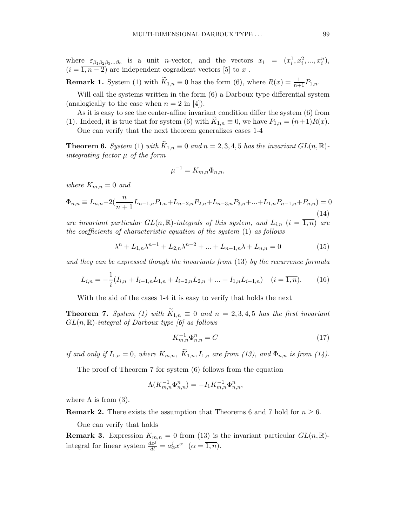where  $\varepsilon_{\beta_1\beta_2\beta_3...\beta_n}$  is a unit *n*-vector, and the vectors  $x_i = (x_i^1, x_i^2, ..., x_i^n)$ ,  $(i = \overline{1, n-2})$  are independent cogradient vectors [5] to x.

**Remark 1.** System (1) with  $\widetilde{K}_{1,n} \equiv 0$  has the form (6), where  $R(x) = \frac{1}{n+1}P_{1,n}$ .

Will call the systems written in the form  $(6)$  a Darboux type differential system (analogically to the case when  $n = 2$  in [4]).

As it is easy to see the center-affine invariant condition differ the system (6) from (1). Indeed, it is true that for system (6) with  $K_{1,n} \equiv 0$ , we have  $P_{1,n} = (n+1)R(x)$ . One can verify that the next theorem generalizes cases 1-4

**Theorem 6.** System (1) with  $\widetilde{K}_{1,n} \equiv 0$  and  $n = 2, 3, 4, 5$  has the invariant  $GL(n, \mathbb{R})$ integrating factor  $\mu$  of the form

$$
\mu^{-1} = K_{m,n} \Phi_{n,n},
$$

where  $K_{m,n} = 0$  and

$$
\Phi_{n,n} \equiv L_{n,n} - 2\left(\frac{n}{n+1}L_{n-1,n}P_{1,n} + L_{n-2,n}P_{2,n} + L_{n-3,n}P_{3,n} + \dots + L_{1,n}P_{n-1,n} + P_{n,n}\right) = 0
$$
\n(14)

are invariant particular  $GL(n,\mathbb{R})$ -integrals of this system, and  $L_{i,n}$   $(i = \overline{1,n})$  are the coefficients of characteristic equation of the system (1) as follows

$$
\lambda^{n} + L_{1,n}\lambda^{n-1} + L_{2,n}\lambda^{n-2} + \dots + L_{n-1,n}\lambda + L_{n,n} = 0
$$
\n(15)

and they can be expressed though the invariants from (13) by the recurrence formula

$$
L_{i,n} = -\frac{1}{i}(I_{i,n} + I_{i-1,n}L_{1,n} + I_{i-2,n}L_{2,n} + \dots + I_{1,n}L_{i-1,n}) \quad (i = \overline{1,n}).
$$
 (16)

With the aid of the cases 1-4 it is easy to verify that holds the next

**Theorem 7.** System (1) with  $\widetilde{K}_{1,n} \equiv 0$  and  $n = 2,3,4,5$  has the first invariant  $GL(n,\mathbb{R})$ -integral of Darboux type [6] as follows

$$
K_{m,n}^{-1} \Phi_{n,n}^n = C \tag{17}
$$

if and only if  $I_{1,n} = 0$ , where  $K_{m,n}$ ,  $\tilde{K}_{1,n}$ ,  $I_{1,n}$  are from (13), and  $\Phi_{n,n}$  is from (14).

The proof of Theorem 7 for system (6) follows from the equation

$$
\Lambda(K_{m,n}^{-1}\Phi_{n,n}^n)=-I_1K_{m,n}^{-1}\Phi_{n,n}^n,
$$

where  $\Lambda$  is from (3).

**Remark 2.** There exists the assumption that Theorems 6 and 7 hold for  $n \geq 6$ .

One can verify that holds

**Remark 3.** Expression  $K_{m,n} = 0$  from (13) is the invariant particular  $GL(n, \mathbb{R})$ integral for linear system  $\frac{dx^j}{dt} = a^j_\alpha x^\alpha$   $(\alpha = \overline{1,n}).$